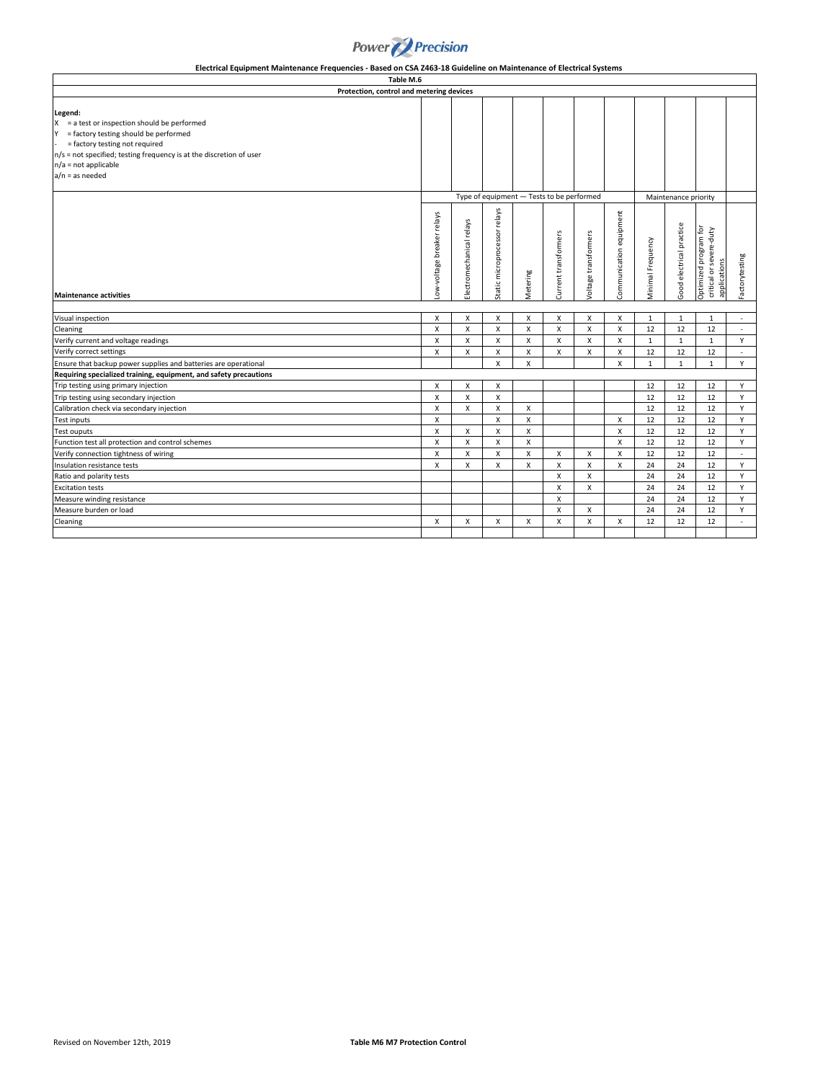

| Table M.6                                                                                                                                                                                                                                                      |                                           |                          |                                 |              |                      |                      |                         |                   |                          |                                                                  |                |
|----------------------------------------------------------------------------------------------------------------------------------------------------------------------------------------------------------------------------------------------------------------|-------------------------------------------|--------------------------|---------------------------------|--------------|----------------------|----------------------|-------------------------|-------------------|--------------------------|------------------------------------------------------------------|----------------|
| Protection, control and metering devices                                                                                                                                                                                                                       |                                           |                          |                                 |              |                      |                      |                         |                   |                          |                                                                  |                |
| Legend:<br>$X = a test or inspection should be performed$<br>$Y =$ factory testing should be performed<br>= factory testing not required<br>n/s = not specified; testing frequency is at the discretion of user<br>$n/a = not applicable$<br>$a/n = as needed$ |                                           |                          |                                 |              |                      |                      |                         |                   |                          |                                                                  |                |
|                                                                                                                                                                                                                                                                | Type of equipment - Tests to be performed |                          |                                 |              |                      |                      | Maintenance priority    |                   |                          |                                                                  |                |
| <b>Maintenance activities</b>                                                                                                                                                                                                                                  | ow-voltage breaker relays                 | Electromechanical relays | microprocessor relays<br>Static | Metering     | Current transformers | Voltage transformers | Communication equipment | Minimal Frequency | Good electrical practice | Optimized program for<br>critical or severe-duty<br>applications | Factorytesting |
| Visual inspection                                                                                                                                                                                                                                              | X                                         | X                        | X                               | X            | X                    | X                    | x                       | $\mathbf{1}$      | $1\,$                    | $\mathbf{1}$                                                     | ٠              |
|                                                                                                                                                                                                                                                                | X                                         | X                        | X                               | X            | X                    | X                    | X                       | 12                | 12                       | 12                                                               | $\sim$         |
| Cleaning<br>Verify current and voltage readings                                                                                                                                                                                                                | X                                         | X                        | $\mathsf{x}$                    | $\mathsf{x}$ | $\mathsf{x}$         | X                    | X                       | $\mathbf{1}$      | $\mathbf{1}$             | $\mathbf{1}$                                                     | Y              |
| Verify correct settings                                                                                                                                                                                                                                        | X                                         | X                        | X                               | $\mathsf{x}$ | $\mathsf{x}$         | X                    | $\mathsf{x}$            | 12                | 12                       | 12                                                               | $\sim$         |
| Ensure that backup power supplies and batteries are operational                                                                                                                                                                                                |                                           |                          | $\mathsf{x}$                    | $\mathsf{x}$ |                      |                      | x                       | $\mathbf{1}$      | $\mathbf{1}$             | $\mathbf{1}$                                                     | Y              |
| Requiring specialized training, equipment, and safety precautions                                                                                                                                                                                              |                                           |                          |                                 |              |                      |                      |                         |                   |                          |                                                                  |                |
| Trip testing using primary injection                                                                                                                                                                                                                           | x                                         | X                        | X                               |              |                      |                      |                         | 12                | 12                       | 12                                                               | Y              |
| Trip testing using secondary injection                                                                                                                                                                                                                         | X                                         | X                        | X                               |              |                      |                      |                         | 12                | 12                       | 12                                                               | Y              |
| Calibration check via secondary injection                                                                                                                                                                                                                      | X                                         | X                        | X                               | X            |                      |                      |                         | 12                | 12                       | 12                                                               | Y              |
| <b>Test inputs</b>                                                                                                                                                                                                                                             | X                                         |                          | X                               | X            |                      |                      | $\mathsf{x}$            | 12                | 12                       | 12                                                               | Y              |
| Test ouputs                                                                                                                                                                                                                                                    | x                                         | X                        | X                               | $\mathsf{x}$ |                      |                      | X                       | 12                | 12                       | 12                                                               | Y              |
| Function test all protection and control schemes                                                                                                                                                                                                               | X                                         | X                        | X                               | X            |                      |                      | X                       | 12                | 12                       | 12                                                               | Y              |
| Verify connection tightness of wiring                                                                                                                                                                                                                          | X                                         | X                        | X                               | X            | X                    | X                    | X                       | 12                | 12                       | 12                                                               | $\sim$         |
| Insulation resistance tests                                                                                                                                                                                                                                    | X                                         | X                        | X                               | X            | X                    | X                    | x                       | 24                | 24                       | 12                                                               | Y              |
| Ratio and polarity tests                                                                                                                                                                                                                                       |                                           |                          |                                 |              | X                    | X                    |                         | 24                | 24                       | 12                                                               | Y              |
| <b>Excitation tests</b>                                                                                                                                                                                                                                        |                                           |                          |                                 |              | x                    | X                    |                         | 24                | 24                       | 12                                                               | Y              |
| Measure winding resistance                                                                                                                                                                                                                                     |                                           |                          |                                 |              | X                    |                      |                         | 24                | 24                       | 12                                                               | Y              |
| Measure burden or load                                                                                                                                                                                                                                         |                                           |                          |                                 |              | X                    | X                    |                         | 24                | 24                       | 12                                                               | Y              |
| Cleaning                                                                                                                                                                                                                                                       | X                                         | X                        | X                               | X            | X                    | X                    | x                       | 12                | 12                       | 12                                                               | ÷.             |

**Electrical Equipment Maintenance Frequencies - Based on CSA Z463-18 Guideline on Maintenance of Electrical Systems**